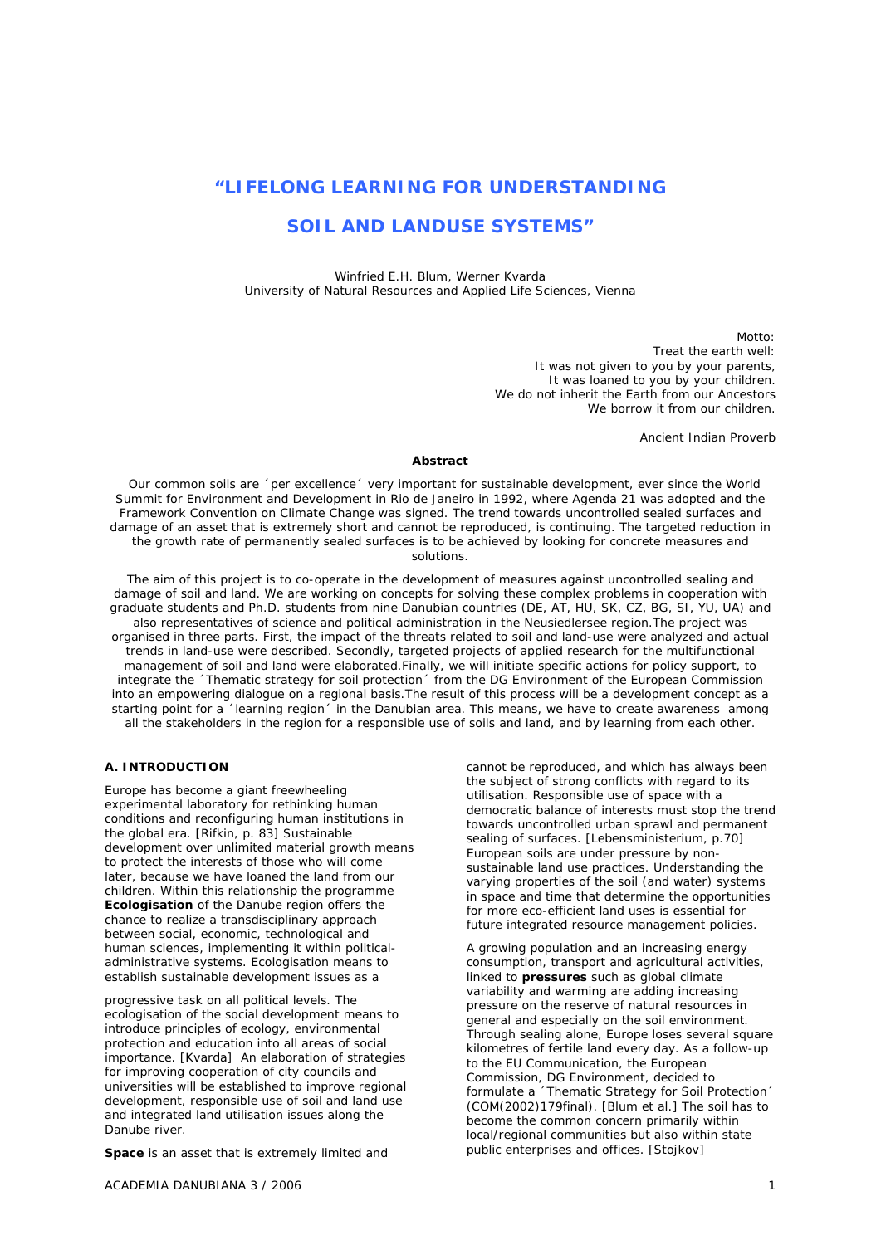# **"LIFELONG LEARNING FOR UNDERSTANDING**

# **SOIL AND LANDUSE SYSTEMS"**

*Winfried E.H. Blum, Werner Kvarda University of Natural Resources and Applied Life Sciences, Vienna* 

> Motto: Treat the earth well: It was not given to you by your parents, It was loaned to you by your children. We do not inherit the Earth from our Ancestors We borrow it from our children.

> > Ancient Indian Proverb

### *Abstract*

 *Our common soils are ´per excellence´ very important for sustainable development, ever since the World Summit for Environment and Development in Rio de Janeiro in 1992, where Agenda 21 was adopted and the Framework Convention on Climate Change was signed. The trend towards uncontrolled sealed surfaces and damage of an asset that is extremely short and cannot be reproduced, is continuing. The targeted reduction in the growth rate of permanently sealed surfaces is to be achieved by looking for concrete measures and solutions.* 

*The aim of this project is to co-operate in the development of measures against uncontrolled sealing and damage of soil and land. We are working on concepts for solving these complex problems in cooperation with graduate students and Ph.D. students from nine Danubian countries (DE, AT, HU, SK, CZ, BG, SI, YU, UA) and also representatives of science and political administration in the Neusiedlersee region.The project was organised in three parts. First, the impact of the threats related to soil and land-use were analyzed and actual trends in land-use were described. Secondly, targeted projects of applied research for the multifunctional management of soil and land were elaborated.Finally, we will initiate specific actions for policy support, to integrate the ´Thematic strategy for soil protection´ from the DG Environment of the European Commission into an empowering dialogue on a regional basis.The result of this process will be a development concept as a starting point for a ´learning region´ in the Danubian area. This means, we have to create awareness among all the stakeholders in the region for a responsible use of soils and land, and by learning from each other.* 

### **A. INTRODUCTION**

Europe has become a giant freewheeling experimental laboratory for rethinking human conditions and reconfiguring human institutions in the global era. [Rifkin, p. 83] Sustainable development over unlimited material growth means to protect the interests of those who will come later, because we have loaned the land from our children. Within this relationship the programme **Ecologisation** of the Danube region offers the chance to realize a transdisciplinary approach between social, economic, technological and human sciences, implementing it within politicaladministrative systems. Ecologisation means to establish sustainable development issues as a

progressive task on all political levels. The ecologisation of the social development means to introduce principles of ecology, environmental protection and education into all areas of social importance. [Kvarda] An elaboration of strategies for improving cooperation of city councils and universities will be established to improve regional development, responsible use of soil and land use and integrated land utilisation issues along the Danube river.

**Space** is an asset that is extremely limited and

ACADEMIA DANUBIANA 3 / 2006 1

cannot be reproduced, and which has always been the subject of strong conflicts with regard to its utilisation. Responsible use of space with a democratic balance of interests must stop the trend towards uncontrolled urban sprawl and permanent sealing of surfaces. [Lebensministerium, p.70] European soils are under pressure by nonsustainable land use practices. Understanding the varying properties of the soil (and water) systems in space and time that determine the opportunities for more eco-efficient land uses is essential for future integrated resource management policies.

A growing population and an increasing energy consumption, transport and agricultural activities, linked to **pressures** such as global climate variability and warming are adding increasing pressure on the reserve of natural resources in general and especially on the soil environment. Through sealing alone, Europe loses several square kilometres of fertile land every day. As a follow-up to the EU Communication, the European Commission, DG Environment, decided to formulate a ´Thematic Strategy for Soil Protection´ (COM(2002)179final). [Blum et al.] The soil has to become the common concern primarily within local/regional communities but also within state public enterprises and offices. [Stojkov]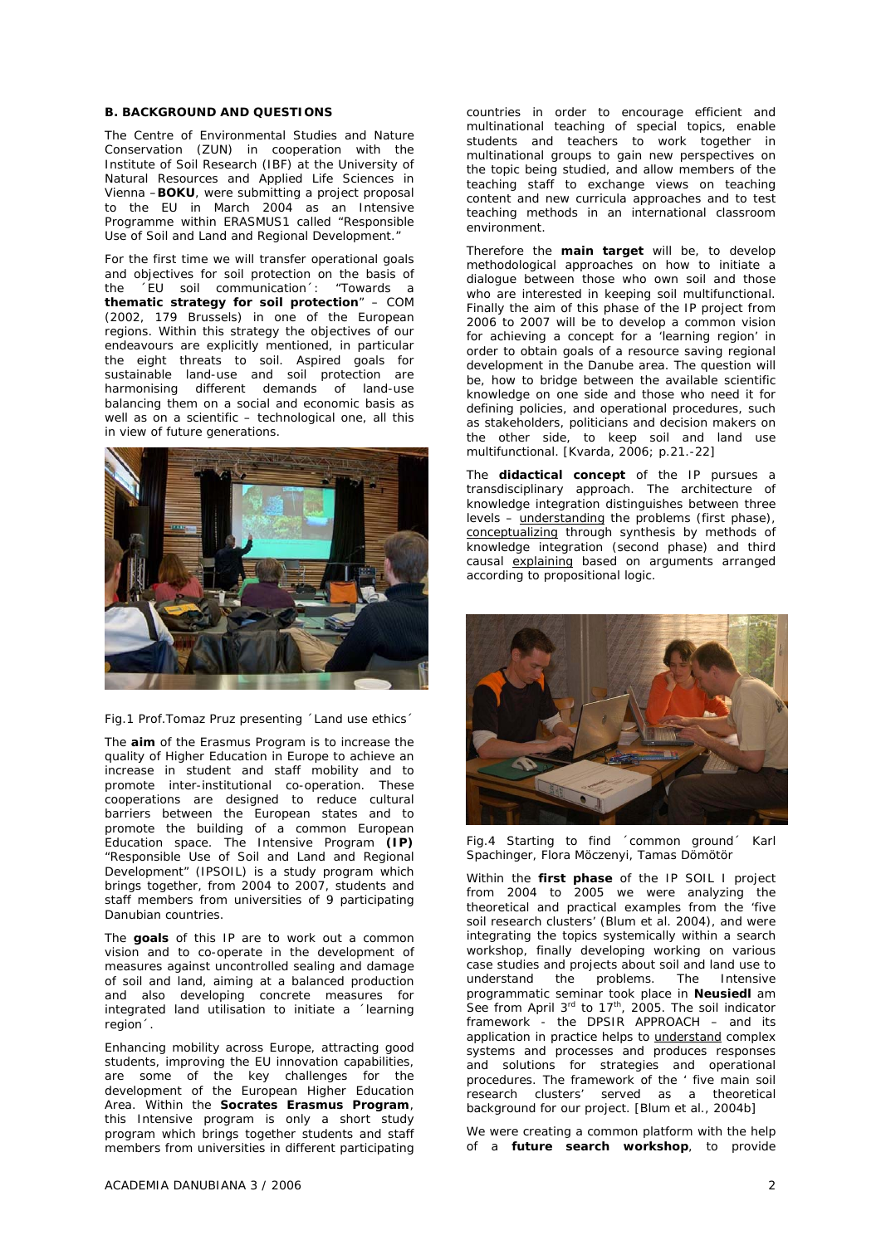#### **B. BACKGROUND AND QUESTIONS**

The Centre of Environmental Studies and Nature Conservation (ZUN) in cooperation with the Institute of Soil Research (IBF) at the University of Natural Resources and Applied Life Sciences in Vienna –**BOKU**, were submitting a project proposal to the EU in March 2004 as an Intensive Programme within ERASMUS1 called "Responsible Use of Soil and Land and Regional Development."

For the first time we will transfer operational goals and objectives for soil protection on the basis of the ´EU soil communication´: "Towards a **thematic strategy for soil protection**" – COM (2002, 179 Brussels) in one of the European regions. Within this strategy the objectives of our endeavours are explicitly mentioned, in particular the eight threats to soil. Aspired goals for sustainable land-use and soil protection are harmonising different demands of land-use balancing them on a social and economic basis as well as on a scientific – technological one, all this in view of future generations.



Fig.1 Prof.Tomaz Pruz presenting ´Land use ethics´

The **aim** of the Erasmus Program is to increase the quality of Higher Education in Europe to achieve an increase in student and staff mobility and to promote inter-institutional co-operation. These cooperations are designed to reduce cultural barriers between the European states and to promote the building of a common European Education space. The Intensive Program **(IP)**  "Responsible Use of Soil and Land and Regional Development" (IPSOIL) is a study program which brings together, from 2004 to 2007, students and staff members from universities of 9 participating Danubian countries.

The **goals** of this IP are to work out a common vision and to co-operate in the development of measures against uncontrolled sealing and damage of soil and land, aiming at a balanced production and also developing concrete measures for integrated land utilisation to initiate a ´learning region´.

Enhancing mobility across Europe, attracting good students, improving the EU innovation capabilities, are some of the key challenges for the development of the European Higher Education Area. Within the **Socrates Erasmus Program**, this Intensive program is only a short study program which brings together students and staff members from universities in different participating

countries in order to encourage efficient and multinational teaching of special topics, enable students and teachers to work together in multinational groups to gain new perspectives on the topic being studied, and allow members of the teaching staff to exchange views on teaching content and new curricula approaches and to test teaching methods in an international classroom environment.

Therefore the **main target** will be, to develop methodological approaches on how to initiate a dialogue between those who own soil and those who are interested in keeping soil multifunctional. Finally the aim of this phase of the IP project from 2006 to 2007 will be to develop a common vision for achieving a concept for a 'learning region' in order to obtain goals of a resource saving regional development in the Danube area. The question will be, how to bridge between the available scientific knowledge on one side and those who need it for defining policies, and operational procedures, such as stakeholders, politicians and decision makers on the other side, to keep soil and land use multifunctional. [Kvarda, 2006; p.21.-22]

The **didactical concept** of the IP pursues a transdisciplinary approach. The architecture of knowledge integration distinguishes between three levels – understanding the problems (first phase), conceptualizing through synthesis by methods of knowledge integration (second phase) and third causal explaining based on arguments arranged according to propositional logic.



Fig.4 Starting to find ´common ground´ Karl Spachinger, Flora Möczenyi, Tamas Dömötör

Within the **first phase** of the IP SOIL I project from 2004 to 2005 we were analyzing the theoretical and practical examples from the 'five soil research clusters' (Blum et al. 2004), and were integrating the topics systemically within a search workshop, finally developing working on various case studies and projects about soil and land use to understand the problems. The Intensive programmatic seminar took place in **Neusiedl** am See from April  $3^{rd}$  to  $17^{th}$ , 2005. The soil indicator framework - the DPSIR APPROACH – and its application in practice helps to understand complex systems and processes and produces responses and solutions for strategies and operational procedures. The framework of the ' five main soil research clusters' served as a theoretical background for our project. [Blum et al., 2004b]

We were creating a common platform with the help of a **future search workshop**, to provide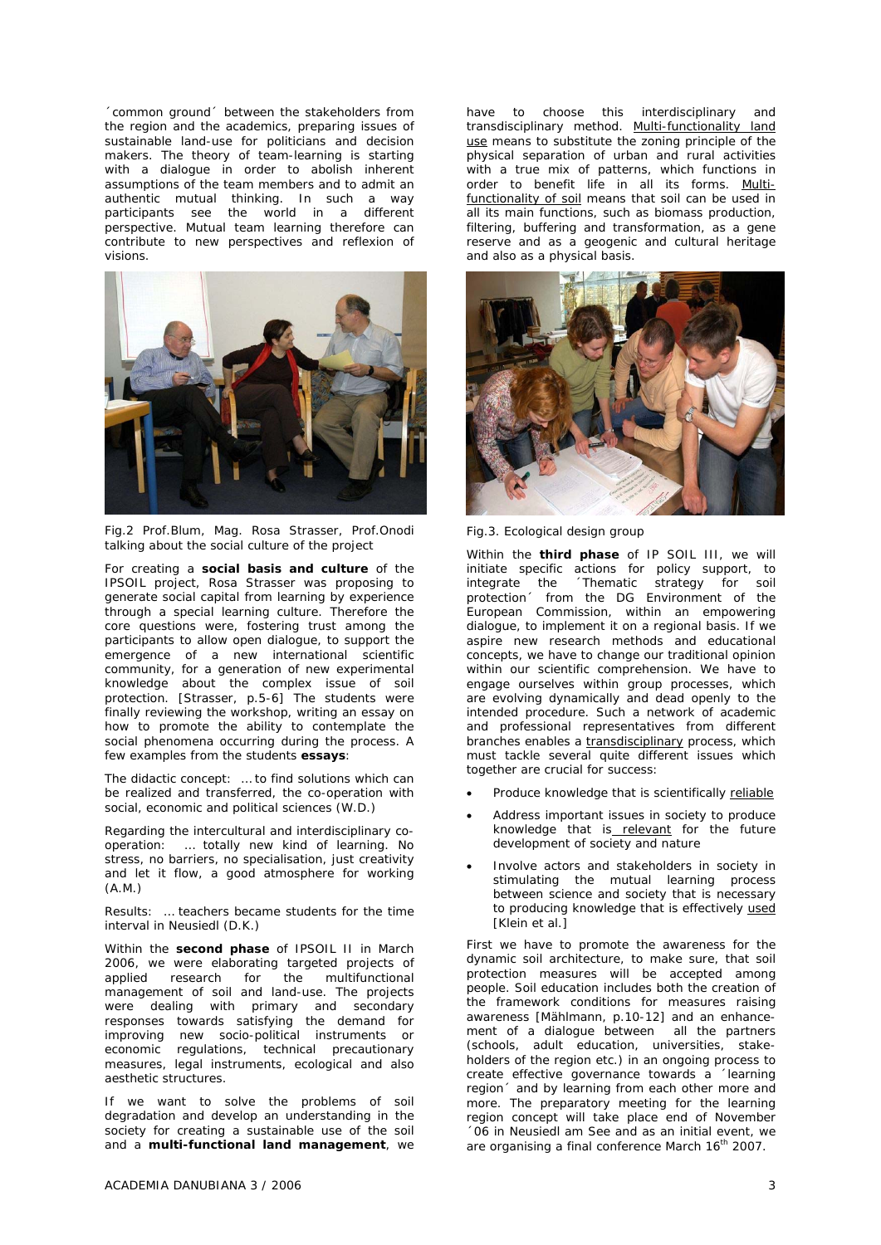´common ground´ between the stakeholders from the region and the academics, preparing issues of sustainable land-use for politicians and decision makers. The theory of team-learning is starting with a dialogue in order to abolish inherent assumptions of the team members and to admit an authentic mutual thinking. In such a way participants see the world in a different perspective. Mutual team learning therefore can contribute to new perspectives and reflexion of visions.



Fig.2 Prof.Blum, Mag. Rosa Strasser, Prof.Onodi talking about the social culture of the project

For creating a **social basis and culture** of the IPSOIL project, Rosa Strasser was proposing to generate social capital from learning by experience through a special learning culture. Therefore the core questions were, fostering trust among the participants to allow open dialogue, to support the emergence of a new international scientific community, for a generation of new experimental knowledge about the complex issue of soil protection. [Strasser, p.5-6] The students were finally reviewing the workshop, writing an essay on how to promote the ability to contemplate the social phenomena occurring during the process. A few examples from the students **essays**:

The didactic concept: … to find solutions which can be realized and transferred, the co-operation with social, economic and political sciences (W.D.)

Regarding the intercultural and interdisciplinary cooperation: … totally new kind of learning. No stress, no barriers, no specialisation, just creativity and let it flow, a good atmosphere for working (A.M.)

Results: … teachers became students for the time interval in Neusiedl (D.K.)

Within the **second phase** of IPSOIL II in March 2006, we were elaborating targeted projects of applied research for the multifunctional management of soil and land-use. The projects were dealing with primary and secondary responses towards satisfying the demand for improving new socio-political instruments or economic regulations, technical precautionary measures, legal instruments, ecological and also aesthetic structures.

If we want to solve the problems of soil degradation and develop an understanding in the society for creating a sustainable use of the soil and a **multi-functional land management**, we

have to choose this interdisciplinary and transdisciplinary method. Multi-functionality land use means to substitute the zoning principle of the physical separation of urban and rural activities with a true mix of patterns, which functions in order to benefit life in all its forms. Multifunctionality of soil means that soil can be used in all its main functions, such as biomass production, filtering, buffering and transformation, as a gene reserve and as a geogenic and cultural heritage and also as a physical basis.



Fig.3. Ecological design group

Within the **third phase** of IP SOIL III, we will initiate specific actions for policy support, to integrate the ´Thematic strategy for soil protection´ from the DG Environment of the European Commission, within an empowering dialogue, to implement it on a regional basis. If we aspire new research methods and educational concepts, we have to change our traditional opinion within our scientific comprehension. We have to engage ourselves within group processes, which are evolving dynamically and dead openly to the intended procedure. Such a network of academic and professional representatives from different branches enables a transdisciplinary process, which must tackle several quite different issues which together are crucial for success:

- Produce knowledge that is scientifically reliable
- Address important issues in society to produce knowledge that is relevant for the future development of society and nature
- Involve actors and stakeholders in society in stimulating the mutual learning process between science and society that is necessary to producing knowledge that is effectively used [Klein et al.]

First we have to promote the awareness for the dynamic soil architecture, to make sure, that soil protection measures will be accepted among people. Soil education includes both the creation of the framework conditions for measures raising awareness [Mählmann, p.10-12] and an enhancement of a dialogue between all the partners (schools, adult education, universities, stakeholders of the region etc.) in an ongoing process to create effective governance towards a ´learning region´ and by learning from each other more and more. The preparatory meeting for the learning region concept will take place end of November ´06 in Neusiedl am See and as an initial event, we are organising a final conference March 16<sup>th</sup> 2007.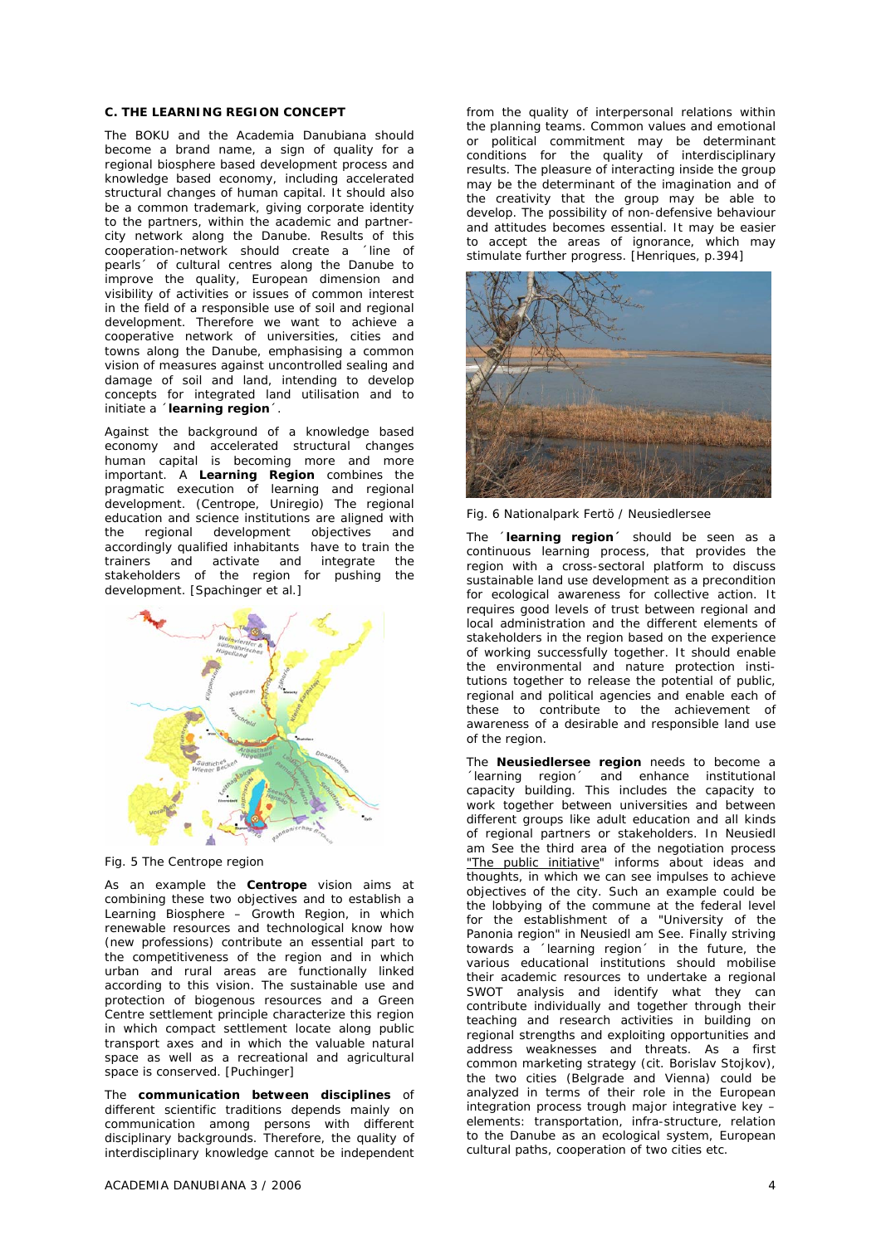#### **C. THE LEARNING REGION CONCEPT**

The BOKU and the Academia Danubiana should become a brand name, a sign of quality for a regional biosphere based development process and knowledge based economy, including accelerated structural changes of human capital. It should also be a common trademark, giving corporate identity to the partners, within the academic and partnercity network along the Danube. Results of this cooperation-network should create a ´line of pearls´ of cultural centres along the Danube to improve the quality, European dimension and visibility of activities or issues of common interest in the field of a responsible use of soil and regional development. Therefore we want to achieve a cooperative network of universities, cities and towns along the Danube, emphasising a common vision of measures against uncontrolled sealing and damage of soil and land, intending to develop concepts for integrated land utilisation and to initiate a ´**learning region**´.

Against the background of a knowledge based economy and accelerated structural changes human capital is becoming more and more important. A **Learning Region** combines the pragmatic execution of learning and regional development. (Centrope, Uniregio) The regional education and science institutions are aligned with<br>the regional development objectives and development objectives and accordingly qualified inhabitants have to train the trainers and activate and integrate the stakeholders of the region for pushing the development. [Spachinger et al.]



Fig. 5 The Centrope region

As an example the **Centrope** vision aims at combining these two objectives and to establish a Learning Biosphere – Growth Region, in which renewable resources and technological know how (new professions) contribute an essential part to the competitiveness of the region and in which urban and rural areas are functionally linked according to this vision. The sustainable use and protection of biogenous resources and a Green Centre settlement principle characterize this region in which compact settlement locate along public transport axes and in which the valuable natural space as well as a recreational and agricultural space is conserved. [Puchinger]

The **communication between disciplines** of different scientific traditions depends mainly on communication among persons with different disciplinary backgrounds. Therefore, the quality of interdisciplinary knowledge cannot be independent

 $ACADEMIA$  DANUBIANA 3 / 2006  $\overline{A}$ 

from the quality of interpersonal relations within the planning teams. Common values and emotional or political commitment may be determinant conditions for the quality of interdisciplinary results. The pleasure of interacting inside the group may be the determinant of the imagination and of the creativity that the group may be able to develop. The possibility of non-defensive behaviour and attitudes becomes essential. It may be easier to accept the areas of ignorance, which may stimulate further progress. [Henriques, p.394]



Fig. 6 Nationalpark Fertö / Neusiedlersee

The ´**learning region´** should be seen as a continuous learning process, that provides the region with a cross-sectoral platform to discuss sustainable land use development as a precondition for ecological awareness for collective action. It requires good levels of trust between regional and local administration and the different elements of stakeholders in the region based on the experience of working successfully together. It should enable the environmental and nature protection institutions together to release the potential of public, regional and political agencies and enable each of these to contribute to the achievement of awareness of a desirable and responsible land use of the region.

The **Neusiedlersee region** needs to become a ´learning region´ and enhance institutional capacity building. This includes the capacity to work together between universities and between different groups like adult education and all kinds of regional partners or stakeholders. In Neusiedl am See the third area of the negotiation process "The public initiative" informs about ideas and thoughts, in which we can see impulses to achieve objectives of the city. Such an example could be the lobbying of the commune at the federal level for the establishment of a "University of the Panonia region" in Neusiedl am See. Finally striving towards a ´learning region´ in the future, the various educational institutions should mobilise their academic resources to undertake a regional SWOT analysis and identify what they can contribute individually and together through their teaching and research activities in building on regional strengths and exploiting opportunities and address weaknesses and threats. As a first common marketing strategy (cit. Borislav Stojkov), the two cities (Belgrade and Vienna) could be analyzed in terms of their role in the European integration process trough major integrative key – elements: transportation, infra-structure, relation to the Danube as an ecological system, European cultural paths, cooperation of two cities etc.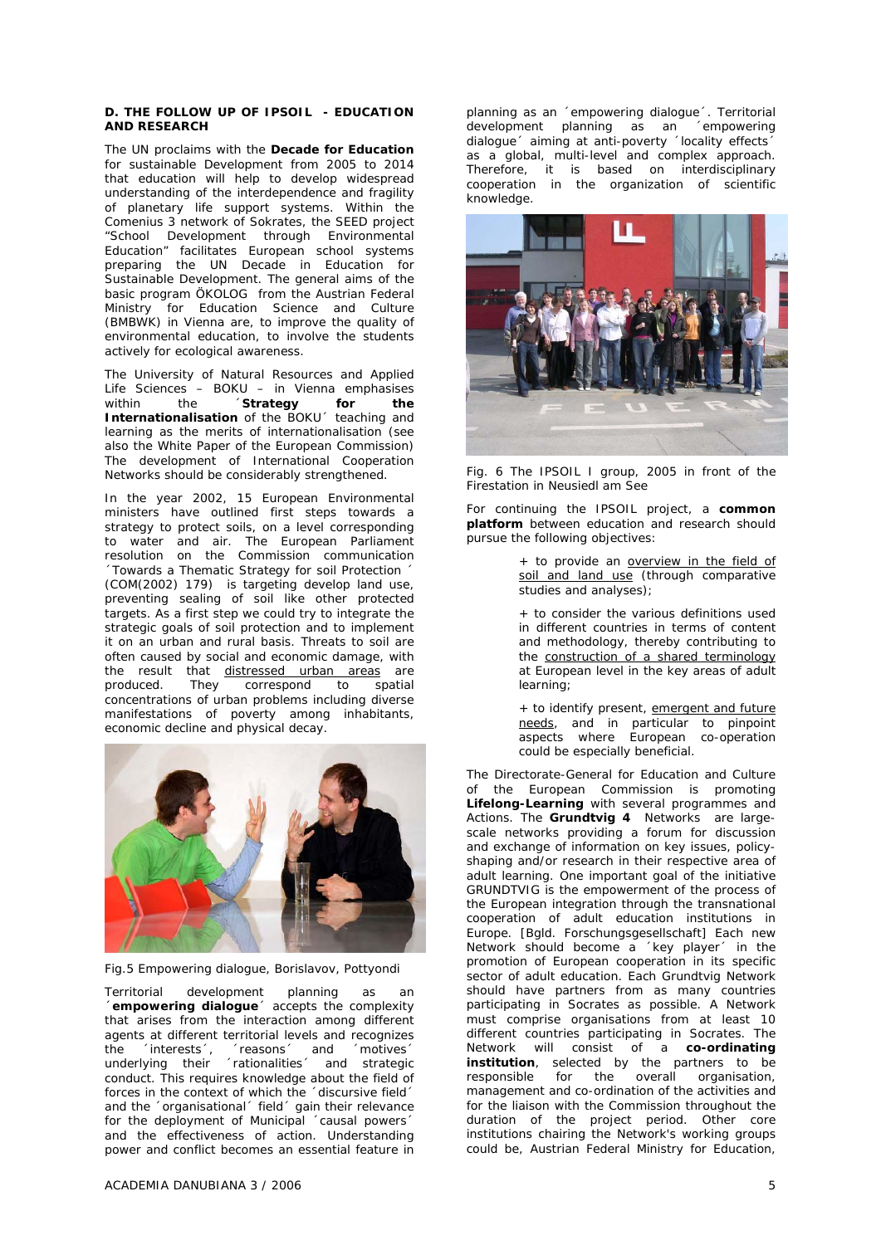#### **D. THE FOLLOW UP OF IPSOIL - EDUCATION AND RESEARCH**

The UN proclaims with the **Decade for Education** for sustainable Development from 2005 to 2014 that education will help to develop widespread understanding of the interdependence and fragility of planetary life support systems. Within the Comenius 3 network of Sokrates, the SEED project "School Development through Environmental Education" facilitates European school systems preparing the UN Decade in Education for Sustainable Development. The general aims of the basic program ÖKOLOG from the Austrian Federal Ministry for Education Science and Culture (BMBWK) in Vienna are, to improve the quality of environmental education, to involve the students actively for ecological awareness.

The University of Natural Resources and Applied Life Sciences – BOKU – in Vienna emphasises<br>within the **Strategy for the** within the **Strategy for the Internationalisation** of the BOKU´ teaching and learning as the merits of internationalisation (see also the White Paper of the European Commission) The development of International Cooperation Networks should be considerably strengthened.

In the year 2002, 15 European Environmental ministers have outlined first steps towards a strategy to protect soils, on a level corresponding to water and air. The European Parliament resolution on the Commission communication ´Towards a Thematic Strategy for soil Protection ´ (COM(2002) 179) is targeting develop land use, preventing sealing of soil like other protected targets. As a first step we could try to integrate the strategic goals of soil protection and to implement it on an urban and rural basis. Threats to soil are often caused by social and economic damage, with the result that distressed urban areas are produced. They correspond to spatial concentrations of urban problems including diverse manifestations of poverty among inhabitants, economic decline and physical decay.



Fig.5 Empowering dialogue, Borislavov, Pottyondi

Territorial development planning as an ´**empowering dialogue**´ accepts the complexity that arises from the interaction among different agents at different territorial levels and recognizes the ´interests´, ´reasons´ and ´motives´ underlying their ´rationalities´ and strategic conduct. This requires knowledge about the field of forces in the context of which the 'discursive field' and the 'organisational' field' gain their relevance for the deployment of Municipal 'causal powers' and the effectiveness of action. Understanding power and conflict becomes an essential feature in

 $ACADEMIA$  DANUBIANA 3 / 2006  $5$ 

planning as an ´empowering dialogue´. Territorial development planning as an ´empowering dialogue aiming at anti-poverty locality effects as a global, multi-level and complex approach. Therefore, it is based on interdisciplinary cooperation in the organization of scientific knowledge.



Fig. 6 The IPSOIL I group, 2005 in front of the Firestation in Neusiedl am See

For continuing the IPSOIL project, a **common platform** between education and research should pursue the following objectives:

> + to provide an overview in the field of soil and land use (through comparative studies and analyses);

> + to consider the various definitions used in different countries in terms of content and methodology, thereby contributing to the construction of a shared terminology at European level in the key areas of adult learning;

> + to identify present, emergent and future needs, and in particular to pinpoint aspects where European co-operation could be especially beneficial.

The Directorate-General for Education and Culture of the European Commission is promoting **Lifelong-Learning** with several programmes and Actions. The **Grundtvig 4** Networks are largescale networks providing a forum for discussion and exchange of information on key issues, policyshaping and/or research in their respective area of adult learning. One important goal of the initiative GRUNDTVIG is the empowerment of the process of the European integration through the transnational cooperation of adult education institutions in Europe. [Bgld. Forschungsgesellschaft] Each new Network should become a ´key player´ in the promotion of European cooperation in its specific sector of adult education. Each Grundtvig Network should have partners from as many countries participating in Socrates as possible. A Network must comprise organisations from at least 10 different countries participating in Socrates. The Network will consist of a **co-ordinating institution**, selected by the partners to be responsible for the overall organisation, management and co-ordination of the activities and for the liaison with the Commission throughout the duration of the project period. Other core institutions chairing the Network's working groups could be, Austrian Federal Ministry for Education,